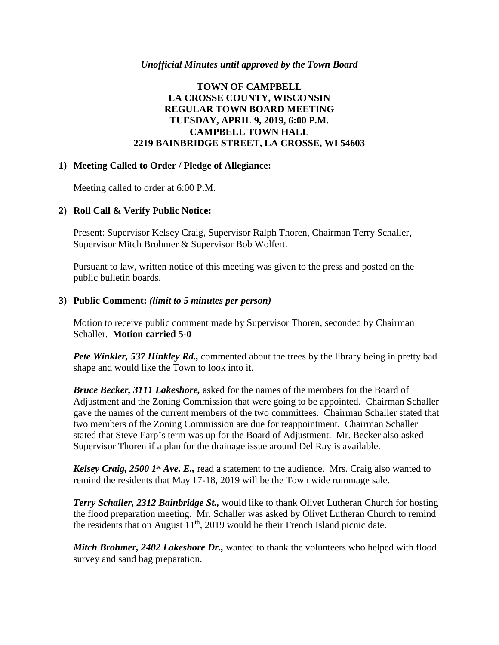### *Unofficial Minutes until approved by the Town Board*

# **TOWN OF CAMPBELL LA CROSSE COUNTY, WISCONSIN REGULAR TOWN BOARD MEETING TUESDAY, APRIL 9, 2019, 6:00 P.M. CAMPBELL TOWN HALL 2219 BAINBRIDGE STREET, LA CROSSE, WI 54603**

### **1) Meeting Called to Order / Pledge of Allegiance:**

Meeting called to order at 6:00 P.M.

# **2) Roll Call & Verify Public Notice:**

Present: Supervisor Kelsey Craig, Supervisor Ralph Thoren, Chairman Terry Schaller, Supervisor Mitch Brohmer & Supervisor Bob Wolfert.

Pursuant to law, written notice of this meeting was given to the press and posted on the public bulletin boards.

### **3) Public Comment:** *(limit to 5 minutes per person)*

Motion to receive public comment made by Supervisor Thoren, seconded by Chairman Schaller. **Motion carried 5-0**

*Pete Winkler, 537 Hinkley Rd.,* commented about the trees by the library being in pretty bad shape and would like the Town to look into it.

*Bruce Becker, 3111 Lakeshore,* asked for the names of the members for the Board of Adjustment and the Zoning Commission that were going to be appointed. Chairman Schaller gave the names of the current members of the two committees. Chairman Schaller stated that two members of the Zoning Commission are due for reappointment. Chairman Schaller stated that Steve Earp's term was up for the Board of Adjustment. Mr. Becker also asked Supervisor Thoren if a plan for the drainage issue around Del Ray is available.

*Kelsey Craig, 2500 1st Ave. E.,* read a statement to the audience. Mrs. Craig also wanted to remind the residents that May 17-18, 2019 will be the Town wide rummage sale.

*Terry Schaller, 2312 Bainbridge St.,* would like to thank Olivet Lutheran Church for hosting the flood preparation meeting. Mr. Schaller was asked by Olivet Lutheran Church to remind the residents that on August  $11<sup>th</sup>$ , 2019 would be their French Island picnic date.

*Mitch Brohmer, 2402 Lakeshore Dr.,* wanted to thank the volunteers who helped with flood survey and sand bag preparation.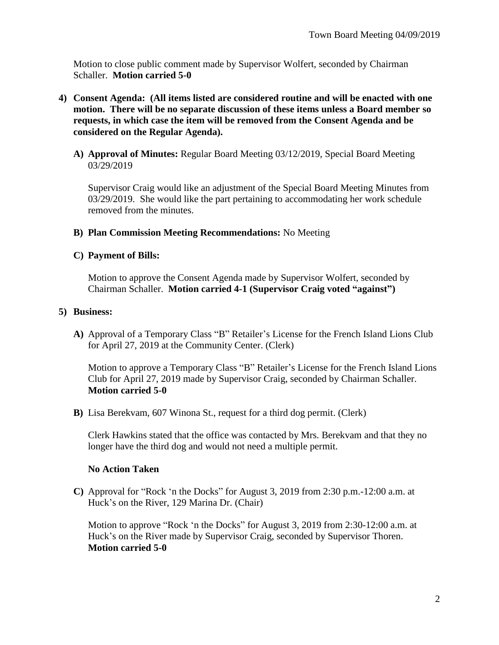Motion to close public comment made by Supervisor Wolfert, seconded by Chairman Schaller. **Motion carried 5-0**

- **4) Consent Agenda: (All items listed are considered routine and will be enacted with one motion. There will be no separate discussion of these items unless a Board member so requests, in which case the item will be removed from the Consent Agenda and be considered on the Regular Agenda).**
	- **A) Approval of Minutes:** Regular Board Meeting 03/12/2019, Special Board Meeting 03/29/2019

Supervisor Craig would like an adjustment of the Special Board Meeting Minutes from 03/29/2019. She would like the part pertaining to accommodating her work schedule removed from the minutes.

#### **B) Plan Commission Meeting Recommendations:** No Meeting

#### **C) Payment of Bills:**

Motion to approve the Consent Agenda made by Supervisor Wolfert, seconded by Chairman Schaller. **Motion carried 4-1 (Supervisor Craig voted "against")**

#### **5) Business:**

**A)** Approval of a Temporary Class "B" Retailer's License for the French Island Lions Club for April 27, 2019 at the Community Center. (Clerk)

Motion to approve a Temporary Class "B" Retailer's License for the French Island Lions Club for April 27, 2019 made by Supervisor Craig, seconded by Chairman Schaller. **Motion carried 5-0**

**B)** Lisa Berekvam, 607 Winona St., request for a third dog permit. (Clerk)

Clerk Hawkins stated that the office was contacted by Mrs. Berekvam and that they no longer have the third dog and would not need a multiple permit.

### **No Action Taken**

**C)** Approval for "Rock 'n the Docks" for August 3, 2019 from 2:30 p.m.-12:00 a.m. at Huck's on the River, 129 Marina Dr. (Chair)

Motion to approve "Rock 'n the Docks" for August 3, 2019 from 2:30-12:00 a.m. at Huck's on the River made by Supervisor Craig, seconded by Supervisor Thoren. **Motion carried 5-0**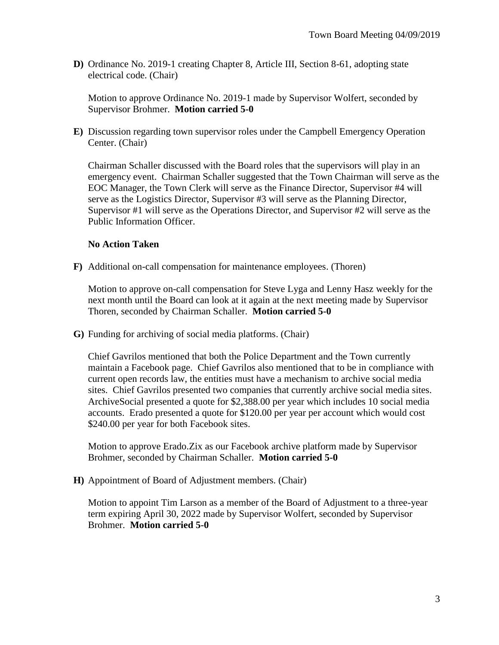**D)** Ordinance No. 2019-1 creating Chapter 8, Article III, Section 8-61, adopting state electrical code. (Chair)

Motion to approve Ordinance No. 2019-1 made by Supervisor Wolfert, seconded by Supervisor Brohmer. **Motion carried 5-0**

**E)** Discussion regarding town supervisor roles under the Campbell Emergency Operation Center. (Chair)

Chairman Schaller discussed with the Board roles that the supervisors will play in an emergency event. Chairman Schaller suggested that the Town Chairman will serve as the EOC Manager, the Town Clerk will serve as the Finance Director, Supervisor #4 will serve as the Logistics Director, Supervisor #3 will serve as the Planning Director, Supervisor #1 will serve as the Operations Director, and Supervisor #2 will serve as the Public Information Officer.

# **No Action Taken**

**F)** Additional on-call compensation for maintenance employees. (Thoren)

Motion to approve on-call compensation for Steve Lyga and Lenny Hasz weekly for the next month until the Board can look at it again at the next meeting made by Supervisor Thoren, seconded by Chairman Schaller. **Motion carried 5-0**

**G)** Funding for archiving of social media platforms. (Chair)

Chief Gavrilos mentioned that both the Police Department and the Town currently maintain a Facebook page. Chief Gavrilos also mentioned that to be in compliance with current open records law, the entities must have a mechanism to archive social media sites. Chief Gavrilos presented two companies that currently archive social media sites. ArchiveSocial presented a quote for \$2,388.00 per year which includes 10 social media accounts. Erado presented a quote for \$120.00 per year per account which would cost \$240.00 per year for both Facebook sites.

Motion to approve Erado.Zix as our Facebook archive platform made by Supervisor Brohmer, seconded by Chairman Schaller. **Motion carried 5-0**

**H)** Appointment of Board of Adjustment members. (Chair)

Motion to appoint Tim Larson as a member of the Board of Adjustment to a three-year term expiring April 30, 2022 made by Supervisor Wolfert, seconded by Supervisor Brohmer. **Motion carried 5-0**